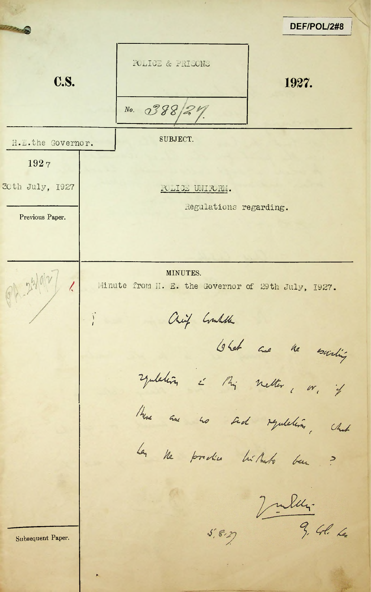|                   |                                                                | DEF/POL/2#8           |
|-------------------|----------------------------------------------------------------|-----------------------|
| <b>C.S.</b>       | POLICE & PRIECNE<br>No. $0388/4$                               | 1927.                 |
| H.E.the Governor. | SUBJECT.                                                       |                       |
| 1927              |                                                                |                       |
| 30th July, 1927   | POLICE UNIFORM.                                                |                       |
| Previous Paper.   | Regulations regarding.                                         |                       |
|                   |                                                                |                       |
|                   | MINUTES.<br>Minute from H. E. the Governor of 29th July, 1927. |                       |
|                   | Chief Could                                                    |                       |
|                   |                                                                | What are the existing |
|                   | symbolism i Mig netter, or, if                                 |                       |
|                   | How are no send regulation, which                              |                       |
|                   | La ne produce lui Marto ben ?                                  |                       |
|                   |                                                                |                       |
| Subsequent Paper. |                                                                | Julien 3. Gl. 6       |
|                   |                                                                |                       |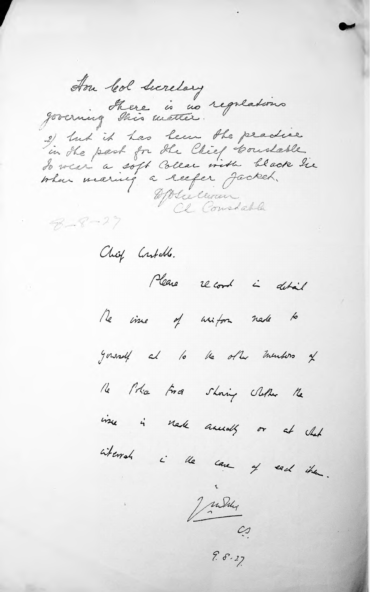Hon leal Secretary governing there is no regulations 2) tut it has been the practice in the past for the Chief Constable.<br>To wear a soft Collar vita black tie when meaning a reefer Jocket. Olielevan  $B - 8 - 27$ Chief Contable. Please record i detail Re vine of uniform nede to generalf at to the other members of le l'Ara force showing Nether Me ince is note annually or at what whereat i the case of each them. Judit

 $9.8.27$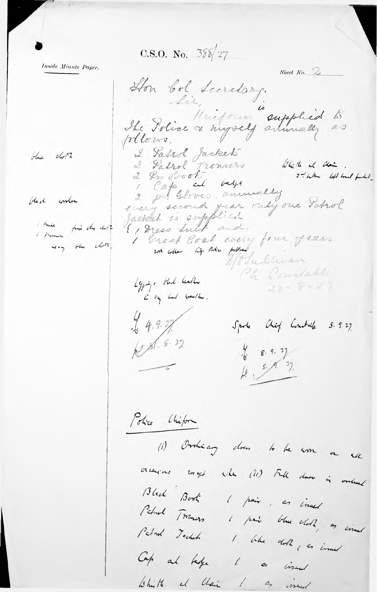C.S.O. No.  $38\sqrt{27}$ 

Inside Minute Paper.

blue chotz

bleck worker

I knike fine the duth way the chine,

Sheet No.  $\mathbb{Z}_{\ell}$ Hon bol Secretary. The Police of myself arimally as plous. 2 Patrol Jacket<br>2 Patrol Tromers<br>2 Pro Proof Louge Which it than . 2 the left bout full. 2 pro Gloves annually every second year only one Satrol Jacket is supplied. I Great Goat every four fears with collar life their publicant Fullwan Ch Constable Lyping, that leather  $28 - 8 - 27$ i by had weather .  $4.9.27$ Spoke Chief Combale 5.9.27 RS. 8.27.  $\frac{1}{6}$  8.9.2) Le 5. R. 27.  $\overline{a}$ Police Chipon (i) Ordiany does to be soon on all orchions engt when (ii) Full does is ordered Black Book I pair, as invest Petrol Tomas I pain blue chots, as incent Petrol Technol I When doll in inud Cap al habe 1 as incent White al Chair I as incent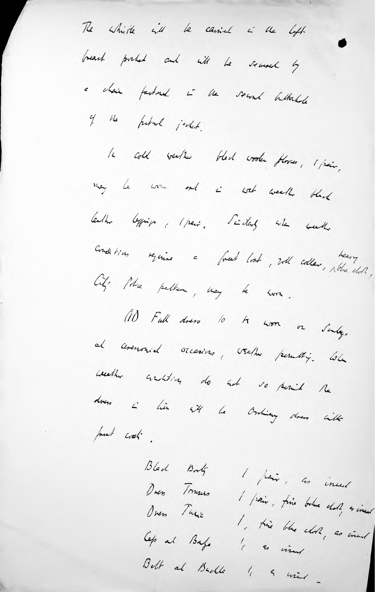The white it be carried in the left breast probab and will be secured by a chair fastural à ve second battachede of the future jecket. 16 cold weeks bled wooder places, 1 pair, may be won and in work week black bather beging (pair. Scitary with week Conditions require a freet look, will collar, where doll, City- Police petter, may be soon. (11) Full does to be won or Surly, al circumsid occasions, valler permitig. When weekher suntition do sut vo point the does i hier ett ha Ording does with put wat .

Bled Bork 1 pair, as inced Dues Trusus I paix, fine belue chot & insured Overs This I , this blue cloth , as ineed Cep al Bafe 1 & view Belt al Badle 1 a mint -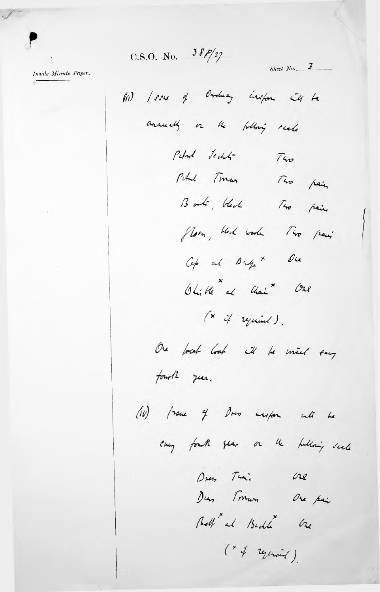C.S.O. No.  $38P/27$ 

Inside Minute Paper.

field / sure of Orcheany inition it to annually or the following reale Petrol Jecht  $740$ Pital Traces Two pain Book, black Two pain flory, black worke Two pains  $\mathcal{O}_{\mathcal{L}}$ Cap and Bangex Ohitle al Chai Ore  $(x \t{if }  $u$  )$ One break look it be mind every fourth year. (iv) frame of Down white with he every fourth year on the publicity scale Dress This One Den Tromon One pain Bell at Budde One (\* of regunned).

Sheet  $N_0$ . 3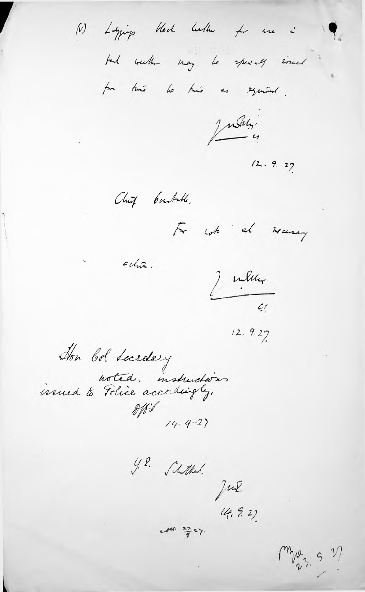Lying Heat better for use i tal weather may be specially sinced for this to this as equined.

July,

 $(2.9.2)$ 

Chief bunkole.

 $ch\tilde{\alpha}$ .

 $(\mathcal{V})$ 

For work at war

Julien  $\overline{c_1}$ 

 $12.9.27$ 

Hon bol Lucrelary noted. instructions  $14 - 9 - 27$ 

Schtlad.<br>Jul  $\sqrt{2}$ .

 $(4, 5, 2)$ 

mpg 9. V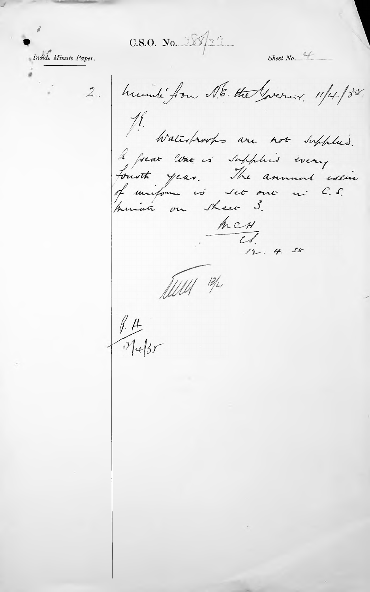$C.S.O.$  No.  $35922$ 



2. humili fou N.E. the Greener. 11/4/85. 18.<br>Waltsbrooks are not supplied. A prav come is supplied every  $\frac{h c H}{C f}$ 

Sheet  $No.$ 

Alley 13/2,

 $\frac{1}{1}$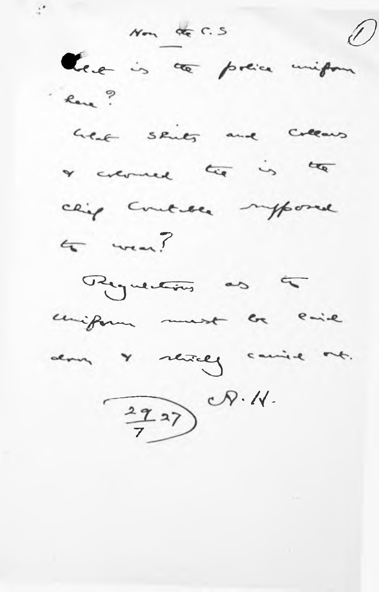Non de C.S leve is a prese uniform Reve? heat skies and collars a connect top is to chip control imposed  $4 - 3$ Requestions as to coniform must be enie don y stricty carrie out.  $\frac{292}{7}$   $\sqrt{4}$ .